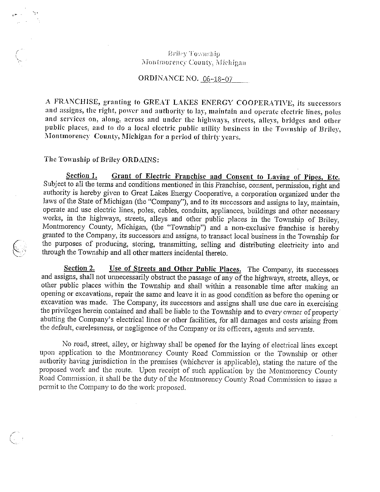## Briley Township Montmorency County, Michigan

### ORDINANCE NO.  $06-18-07$

A FRANCHISE, granting to GREAT LAKES ENERGY COOPERATIVE, its successors and assigns, the right, power and authority to lay. maintain and operate electric lines, poles and services on, along, across and under the highways, streets, alleys, bridges and other public places, and to do a local electric public utility business in the Township of Briley, Montinorency County, Michigan for <sup>a</sup> period of thirty years.

#### The Township of Briley ORDAINS:

N

Section 1. Grant of Electric Franchise and Consent to Laying of Pipes, Etc. Subject to all the terms and conditions mentioned in this Franchise, consent, permission, right and authority is hereby given to Great Lakes Energy Cooperative, a corporation organized under the laws of the State of Michigan (the "Company"), and to its successors and assigns to lay, maintain, operate and use electric lines, poles, cables, conduits, appliances, buildings and other necessary works, in the highways, streets, alleys and other public places in the Township of Briley, Montmorency County, Michigan, (the "Township") and a non-exclusive franchise is hereby granted to the Company, its successors and assigns, to transact local business in the Township for the purposes of producing, storing, transmitting, selling and distributing electricity into and through the Township and all other matters incidental thereto.

Section 2. Use of Streets and Other Public Places. The Company, its successors and assigns, shall not unnecessarily obstruct the passage of any of the highways, streets, alleys, or other public places within the Township and shall within <sup>a</sup> reasonable time after making an opening or excavations, repair the same and leave it in as good condition as before the opening or excavation was made. The Company, its successors and assigns shall use due care in exercising the privileges herein contained and shall be liable to the Township and to every owner of property' abutting the Company's electrical lines or other facilities, for all damages and costs arising from the default, carelessness, or negligence of the Company or its officers, agents and servants.

No road, street, alley, or highway shall be opened for the laying of electrical lines except upon application to the Montrnorency County Road Commission or the Township or other authority having jurisdiction in the premises (whichever is applicable), stating the nature of the proposed work and the route. Upon receipt of such application by the Montmorency County Road Commission, it shall be the duty of the Montmorency County Road Commission to issue a permit to the Company to do the work proposed.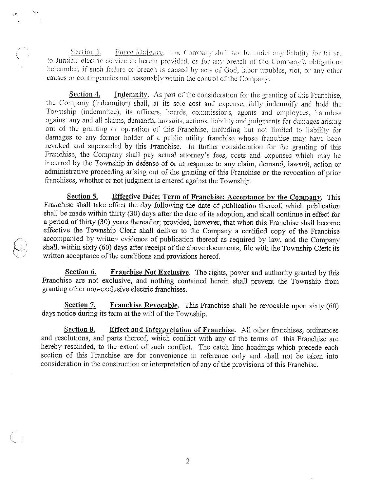Section 3. Force Majeure. The Company shall not be under any liability for failure to furnish electric service as herein provided, or for any breach of the Company's obligations hereunder, if such failure or breach is caused by acts of God, labor troubles, riot, or any other causes or contingencies not reasonably within the control of the Company.

Section 4. Indemnity. As part of the consideration for the granting of this Franchise, the Company (indenmitor) shall, at its sole cost and expense, fully indemnify and hold the Township (indemnitee), its officers, boards, commissions, agents and employees, harmless against any and all claims, demands, lawsuits, actions, liability and judgments for damages arising out of the granting or operation of this Franchise, including but not limited to liability for damages to any former holder of a public utility franchise whose franchise may have been revoked and superseded by this Franchise. In further consideration for the granting of this Franchise, the Company shall pay actual attorney's fees, costs and expenses which may be incurred by the Township in defense of or in response to any claim, demand, lawsuit, action or administrative proceeding arising out of the granting of this Franchise or the revocation of prior franchises, whether or not judgment is entered against the Township.

Section 5. Effective Date; Term of Franchise; Acceptance by the Company. This Franchise shall take effect the day following the date of publication thereof, which publication shall be made within thirty (30) days after the date of its adoption, and shall continue in effect for <sup>a</sup> period of thirty (30) years thereafter; provided, however, that when this Franchise shall become effective the Township Clerk shall deliver to the Company <sup>a</sup> certified copy of the Franchise accompanied by written evidence of publication thereof as required by law, and the Company shall, within sixty (60) days after receipt of the above documents, file with the Township Clerk its written acceptance of the conditions and provisions hereof.

Section 6. Franchise Not Exclusive. The rights, power and authority granted by this Franchise are not exclusive, and nothing contained herein shall prevent the Township from granting other non-exclusive electric franchises.

Section 7. Franchise Revocable. This Franchise shall be revocable upon sixty (60) days notice during its term at the will of the Township.

Section 8. Effect and Interpretation of Franchise. All other franchises, ordinances and resolutions, and parts thereof, which conflict with any of the terms of this Franchise are hereby rescinded, to the extent of such conflict. The catch line headings which precede each section of this Franchise are for convenience in reference only and shall not be taken into consideration in the construction or interpretation of any of the provisions of this Franchise.

2